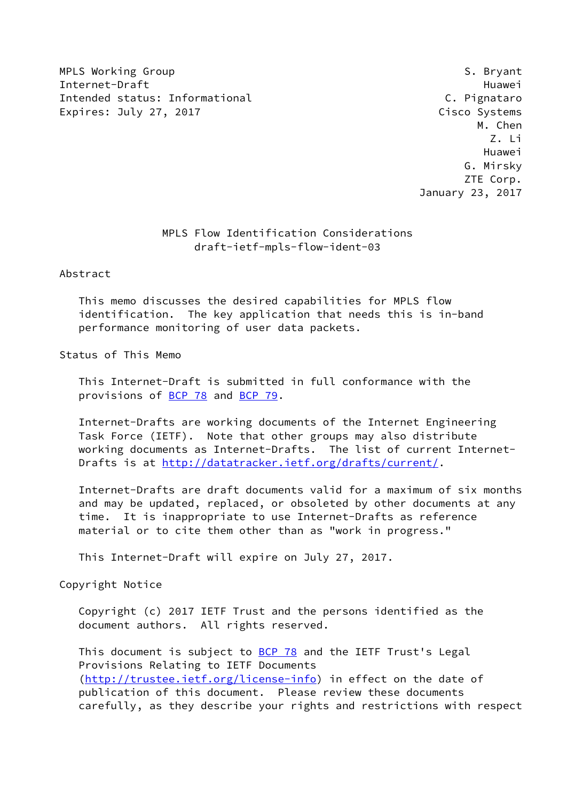MPLS Working Group **S. Bryant** S. Bryant Internet-Draft Huawei Intended status: Informational C. Pignataro Expires: July 27, 2017 **Cisco Systems** 

 M. Chen Z. Li Huawei G. Mirsky ZTE Corp. January 23, 2017

## MPLS Flow Identification Considerations draft-ietf-mpls-flow-ident-03

Abstract

 This memo discusses the desired capabilities for MPLS flow identification. The key application that needs this is in-band performance monitoring of user data packets.

Status of This Memo

 This Internet-Draft is submitted in full conformance with the provisions of [BCP 78](https://datatracker.ietf.org/doc/pdf/bcp78) and [BCP 79](https://datatracker.ietf.org/doc/pdf/bcp79).

 Internet-Drafts are working documents of the Internet Engineering Task Force (IETF). Note that other groups may also distribute working documents as Internet-Drafts. The list of current Internet- Drafts is at<http://datatracker.ietf.org/drafts/current/>.

 Internet-Drafts are draft documents valid for a maximum of six months and may be updated, replaced, or obsoleted by other documents at any time. It is inappropriate to use Internet-Drafts as reference material or to cite them other than as "work in progress."

This Internet-Draft will expire on July 27, 2017.

Copyright Notice

 Copyright (c) 2017 IETF Trust and the persons identified as the document authors. All rights reserved.

This document is subject to **[BCP 78](https://datatracker.ietf.org/doc/pdf/bcp78)** and the IETF Trust's Legal Provisions Relating to IETF Documents [\(http://trustee.ietf.org/license-info](http://trustee.ietf.org/license-info)) in effect on the date of publication of this document. Please review these documents carefully, as they describe your rights and restrictions with respect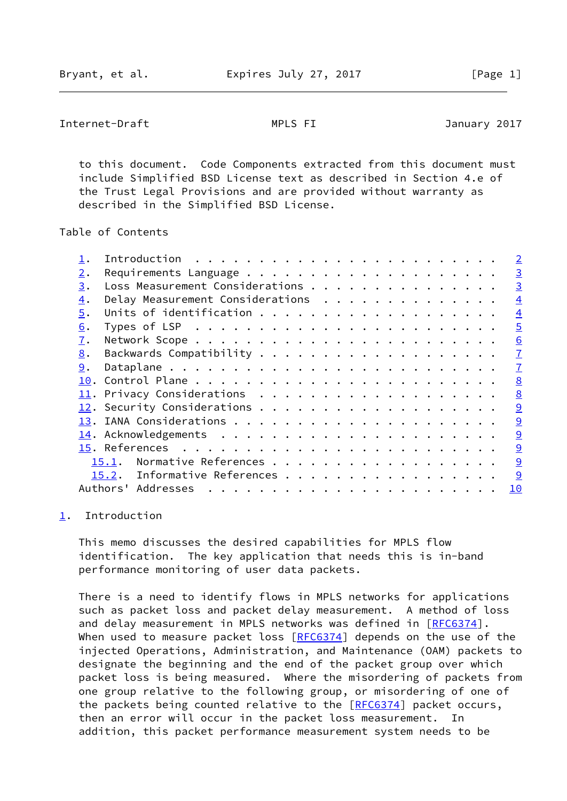<span id="page-1-1"></span>Internet-Draft MPLS FI January 2017

 to this document. Code Components extracted from this document must include Simplified BSD License text as described in Section 4.e of the Trust Legal Provisions and are provided without warranty as described in the Simplified BSD License.

Table of Contents

|                  |                                  |  |  |  |  |  |  |  |  | $\overline{2}$ |
|------------------|----------------------------------|--|--|--|--|--|--|--|--|----------------|
| 2.               |                                  |  |  |  |  |  |  |  |  | $\overline{3}$ |
| 3.               | Loss Measurement Considerations  |  |  |  |  |  |  |  |  | $\overline{3}$ |
| $\overline{4}$ . | Delay Measurement Considerations |  |  |  |  |  |  |  |  | $\overline{4}$ |
| 5.               |                                  |  |  |  |  |  |  |  |  | $\overline{4}$ |
| 6.               |                                  |  |  |  |  |  |  |  |  | $\overline{5}$ |
| 7.               |                                  |  |  |  |  |  |  |  |  | 6              |
| 8.               |                                  |  |  |  |  |  |  |  |  | $\overline{1}$ |
| 9.               |                                  |  |  |  |  |  |  |  |  | $\overline{1}$ |
| 10.              |                                  |  |  |  |  |  |  |  |  | 8              |
|                  |                                  |  |  |  |  |  |  |  |  | 8              |
|                  |                                  |  |  |  |  |  |  |  |  | 9              |
|                  |                                  |  |  |  |  |  |  |  |  | 9              |
|                  |                                  |  |  |  |  |  |  |  |  | 9              |
|                  |                                  |  |  |  |  |  |  |  |  | 9              |
|                  | Normative References<br>15.1.    |  |  |  |  |  |  |  |  | 9              |
|                  | 15.2. Informative References     |  |  |  |  |  |  |  |  | 9              |
|                  | Authors' Addresses               |  |  |  |  |  |  |  |  | 10             |
|                  |                                  |  |  |  |  |  |  |  |  |                |

## <span id="page-1-0"></span>[1](#page-1-0). Introduction

 This memo discusses the desired capabilities for MPLS flow identification. The key application that needs this is in-band performance monitoring of user data packets.

 There is a need to identify flows in MPLS networks for applications such as packet loss and packet delay measurement. A method of loss and delay measurement in MPLS networks was defined in [[RFC6374](https://datatracker.ietf.org/doc/pdf/rfc6374)]. When used to measure packet loss [\[RFC6374](https://datatracker.ietf.org/doc/pdf/rfc6374)] depends on the use of the injected Operations, Administration, and Maintenance (OAM) packets to designate the beginning and the end of the packet group over which packet loss is being measured. Where the misordering of packets from one group relative to the following group, or misordering of one of the packets being counted relative to the [[RFC6374](https://datatracker.ietf.org/doc/pdf/rfc6374)] packet occurs, then an error will occur in the packet loss measurement. In addition, this packet performance measurement system needs to be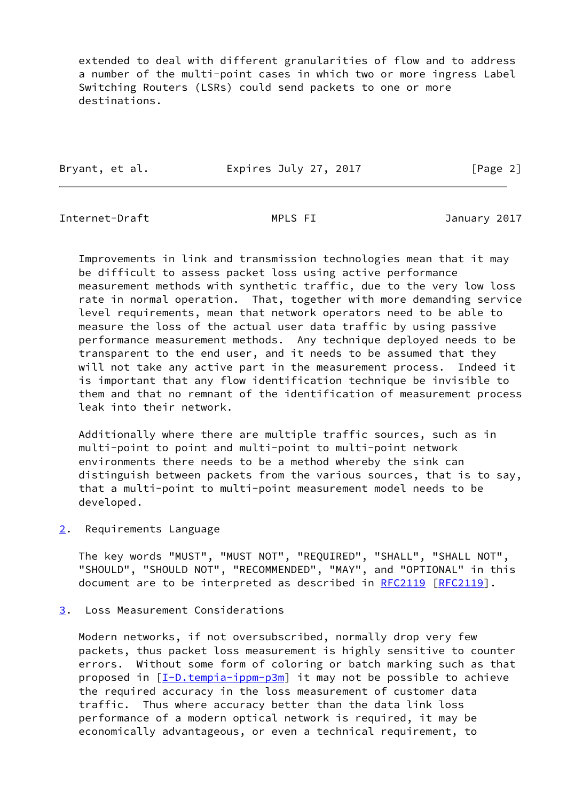extended to deal with different granularities of flow and to address a number of the multi-point cases in which two or more ingress Label Switching Routers (LSRs) could send packets to one or more destinations.

| Bryant, et al. | Expires July 27, 2017 | [Page 2] |
|----------------|-----------------------|----------|
|                |                       |          |

<span id="page-2-1"></span>Internet-Draft MPLS FI January 2017

 Improvements in link and transmission technologies mean that it may be difficult to assess packet loss using active performance measurement methods with synthetic traffic, due to the very low loss rate in normal operation. That, together with more demanding service level requirements, mean that network operators need to be able to measure the loss of the actual user data traffic by using passive performance measurement methods. Any technique deployed needs to be transparent to the end user, and it needs to be assumed that they will not take any active part in the measurement process. Indeed it is important that any flow identification technique be invisible to them and that no remnant of the identification of measurement process leak into their network.

 Additionally where there are multiple traffic sources, such as in multi-point to point and multi-point to multi-point network environments there needs to be a method whereby the sink can distinguish between packets from the various sources, that is to say, that a multi-point to multi-point measurement model needs to be developed.

<span id="page-2-0"></span>[2](#page-2-0). Requirements Language

 The key words "MUST", "MUST NOT", "REQUIRED", "SHALL", "SHALL NOT", "SHOULD", "SHOULD NOT", "RECOMMENDED", "MAY", and "OPTIONAL" in this document are to be interpreted as described in [RFC2119](https://datatracker.ietf.org/doc/pdf/rfc2119) [\[RFC2119](https://datatracker.ietf.org/doc/pdf/rfc2119)].

<span id="page-2-2"></span>[3](#page-2-2). Loss Measurement Considerations

 Modern networks, if not oversubscribed, normally drop very few packets, thus packet loss measurement is highly sensitive to counter errors. Without some form of coloring or batch marking such as that proposed in [\[I-D.tempia-ippm-p3m](#page-9-7)] it may not be possible to achieve the required accuracy in the loss measurement of customer data traffic. Thus where accuracy better than the data link loss performance of a modern optical network is required, it may be economically advantageous, or even a technical requirement, to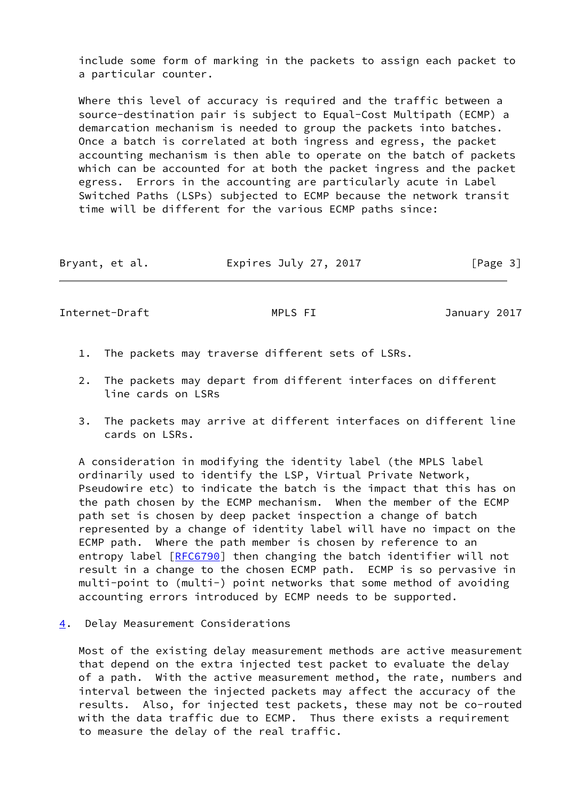include some form of marking in the packets to assign each packet to a particular counter.

 Where this level of accuracy is required and the traffic between a source-destination pair is subject to Equal-Cost Multipath (ECMP) a demarcation mechanism is needed to group the packets into batches. Once a batch is correlated at both ingress and egress, the packet accounting mechanism is then able to operate on the batch of packets which can be accounted for at both the packet ingress and the packet egress. Errors in the accounting are particularly acute in Label Switched Paths (LSPs) subjected to ECMP because the network transit time will be different for the various ECMP paths since:

| Expires July 27, 2017<br>Bryant, et al. | [Page 3] |
|-----------------------------------------|----------|
|-----------------------------------------|----------|

<span id="page-3-1"></span>Internet-Draft MPLS FI January 2017

- 1. The packets may traverse different sets of LSRs.
- 2. The packets may depart from different interfaces on different line cards on LSRs
- 3. The packets may arrive at different interfaces on different line cards on LSRs.

 A consideration in modifying the identity label (the MPLS label ordinarily used to identify the LSP, Virtual Private Network, Pseudowire etc) to indicate the batch is the impact that this has on the path chosen by the ECMP mechanism. When the member of the ECMP path set is chosen by deep packet inspection a change of batch represented by a change of identity label will have no impact on the ECMP path. Where the path member is chosen by reference to an entropy label [[RFC6790](https://datatracker.ietf.org/doc/pdf/rfc6790)] then changing the batch identifier will not result in a change to the chosen ECMP path. ECMP is so pervasive in multi-point to (multi-) point networks that some method of avoiding accounting errors introduced by ECMP needs to be supported.

<span id="page-3-0"></span>[4](#page-3-0). Delay Measurement Considerations

 Most of the existing delay measurement methods are active measurement that depend on the extra injected test packet to evaluate the delay of a path. With the active measurement method, the rate, numbers and interval between the injected packets may affect the accuracy of the results. Also, for injected test packets, these may not be co-routed with the data traffic due to ECMP. Thus there exists a requirement to measure the delay of the real traffic.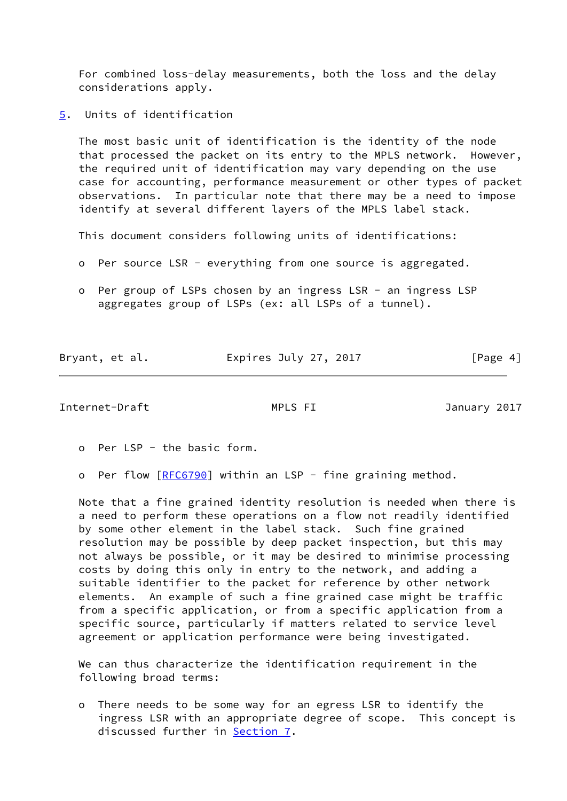For combined loss-delay measurements, both the loss and the delay considerations apply.

<span id="page-4-0"></span>[5](#page-4-0). Units of identification

 The most basic unit of identification is the identity of the node that processed the packet on its entry to the MPLS network. However, the required unit of identification may vary depending on the use case for accounting, performance measurement or other types of packet observations. In particular note that there may be a need to impose identify at several different layers of the MPLS label stack.

This document considers following units of identifications:

- o Per source LSR everything from one source is aggregated.
- o Per group of LSPs chosen by an ingress LSR an ingress LSP aggregates group of LSPs (ex: all LSPs of a tunnel).

| Bryant, et al. | Expires July 27, 2017 | [Page 4] |
|----------------|-----------------------|----------|

<span id="page-4-1"></span>Internet-Draft MPLS FI January 2017

o Per LSP - the basic form.

o Per flow [\[RFC6790](https://datatracker.ietf.org/doc/pdf/rfc6790)] within an LSP - fine graining method.

 Note that a fine grained identity resolution is needed when there is a need to perform these operations on a flow not readily identified by some other element in the label stack. Such fine grained resolution may be possible by deep packet inspection, but this may not always be possible, or it may be desired to minimise processing costs by doing this only in entry to the network, and adding a suitable identifier to the packet for reference by other network elements. An example of such a fine grained case might be traffic from a specific application, or from a specific application from a specific source, particularly if matters related to service level agreement or application performance were being investigated.

 We can thus characterize the identification requirement in the following broad terms:

 o There needs to be some way for an egress LSR to identify the ingress LSR with an appropriate degree of scope. This concept is discussed further in **Section 7.**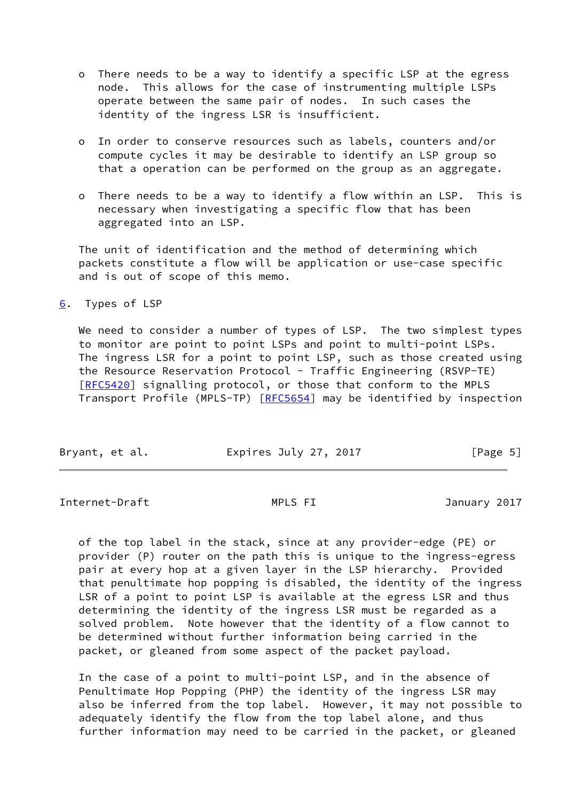- o There needs to be a way to identify a specific LSP at the egress node. This allows for the case of instrumenting multiple LSPs operate between the same pair of nodes. In such cases the identity of the ingress LSR is insufficient.
- o In order to conserve resources such as labels, counters and/or compute cycles it may be desirable to identify an LSP group so that a operation can be performed on the group as an aggregate.
- o There needs to be a way to identify a flow within an LSP. This is necessary when investigating a specific flow that has been aggregated into an LSP.

 The unit of identification and the method of determining which packets constitute a flow will be application or use-case specific and is out of scope of this memo.

<span id="page-5-0"></span>[6](#page-5-0). Types of LSP

We need to consider a number of types of LSP. The two simplest types to monitor are point to point LSPs and point to multi-point LSPs. The ingress LSR for a point to point LSP, such as those created using the Resource Reservation Protocol - Traffic Engineering (RSVP-TE) [\[RFC5420](https://datatracker.ietf.org/doc/pdf/rfc5420)] signalling protocol, or those that conform to the MPLS Transport Profile (MPLS-TP) [\[RFC5654](https://datatracker.ietf.org/doc/pdf/rfc5654)] may be identified by inspection

| Bryant, et al. | Expires July 27, 2017 | [Page 5] |
|----------------|-----------------------|----------|
|                |                       |          |

<span id="page-5-1"></span>Internet-Draft MPLS FI January 2017

 of the top label in the stack, since at any provider-edge (PE) or provider (P) router on the path this is unique to the ingress-egress pair at every hop at a given layer in the LSP hierarchy. Provided that penultimate hop popping is disabled, the identity of the ingress LSR of a point to point LSP is available at the egress LSR and thus determining the identity of the ingress LSR must be regarded as a solved problem. Note however that the identity of a flow cannot to be determined without further information being carried in the packet, or gleaned from some aspect of the packet payload.

 In the case of a point to multi-point LSP, and in the absence of Penultimate Hop Popping (PHP) the identity of the ingress LSR may also be inferred from the top label. However, it may not possible to adequately identify the flow from the top label alone, and thus further information may need to be carried in the packet, or gleaned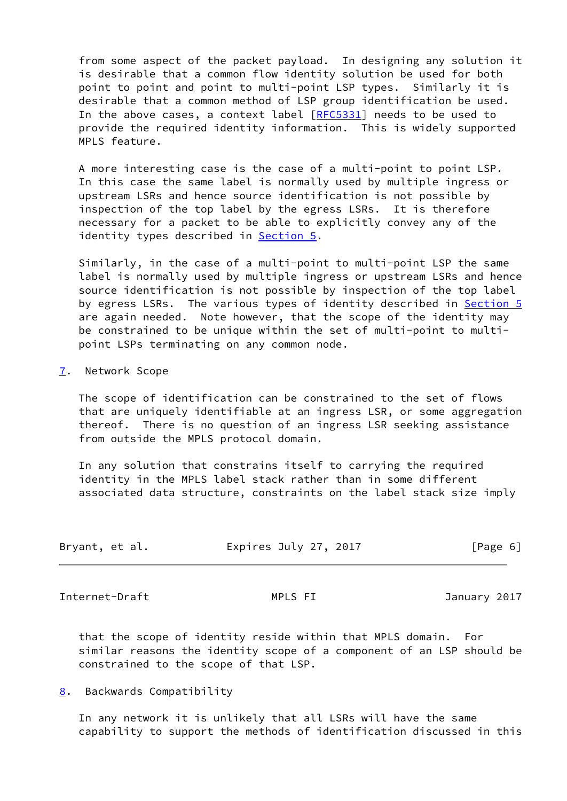from some aspect of the packet payload. In designing any solution it is desirable that a common flow identity solution be used for both point to point and point to multi-point LSP types. Similarly it is desirable that a common method of LSP group identification be used. In the above cases, a context label [\[RFC5331](https://datatracker.ietf.org/doc/pdf/rfc5331)] needs to be used to provide the required identity information. This is widely supported MPLS feature.

 A more interesting case is the case of a multi-point to point LSP. In this case the same label is normally used by multiple ingress or upstream LSRs and hence source identification is not possible by inspection of the top label by the egress LSRs. It is therefore necessary for a packet to be able to explicitly convey any of the identity types described in **[Section 5.](#page-4-0)** 

 Similarly, in the case of a multi-point to multi-point LSP the same label is normally used by multiple ingress or upstream LSRs and hence source identification is not possible by inspection of the top label by egress LSRs. The various types of identity described in [Section 5](#page-4-0) are again needed. Note however, that the scope of the identity may be constrained to be unique within the set of multi-point to multi point LSPs terminating on any common node.

### <span id="page-6-0"></span>[7](#page-6-0). Network Scope

 The scope of identification can be constrained to the set of flows that are uniquely identifiable at an ingress LSR, or some aggregation thereof. There is no question of an ingress LSR seeking assistance from outside the MPLS protocol domain.

 In any solution that constrains itself to carrying the required identity in the MPLS label stack rather than in some different associated data structure, constraints on the label stack size imply

| Bryant, et al. | Expires July 27, 2017 | [Page 6] |
|----------------|-----------------------|----------|
|                |                       |          |

<span id="page-6-2"></span>Internet-Draft MPLS FI January 2017

 that the scope of identity reside within that MPLS domain. For similar reasons the identity scope of a component of an LSP should be constrained to the scope of that LSP.

<span id="page-6-1"></span>[8](#page-6-1). Backwards Compatibility

 In any network it is unlikely that all LSRs will have the same capability to support the methods of identification discussed in this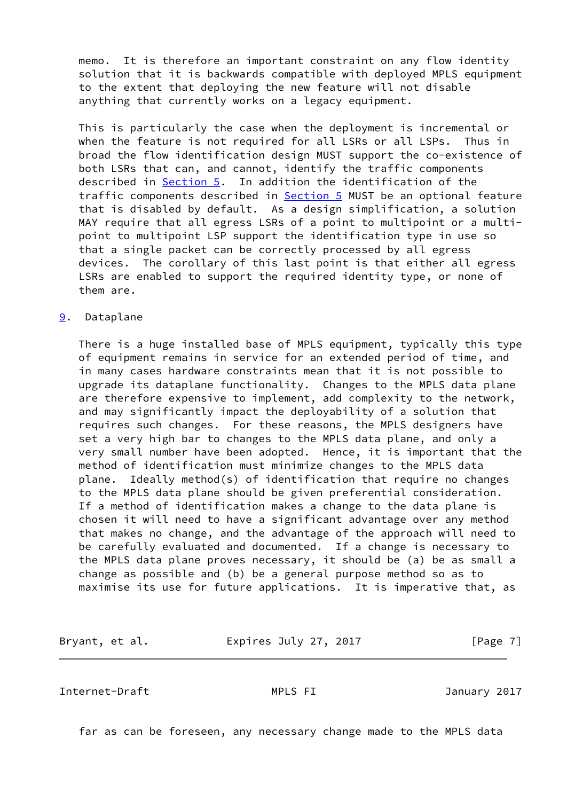memo. It is therefore an important constraint on any flow identity solution that it is backwards compatible with deployed MPLS equipment to the extent that deploying the new feature will not disable anything that currently works on a legacy equipment.

 This is particularly the case when the deployment is incremental or when the feature is not required for all LSRs or all LSPs. Thus in broad the flow identification design MUST support the co-existence of both LSRs that can, and cannot, identify the traffic components described in [Section 5](#page-4-0). In addition the identification of the traffic components described in **Section 5** MUST be an optional feature that is disabled by default. As a design simplification, a solution MAY require that all egress LSRs of a point to multipoint or a multi point to multipoint LSP support the identification type in use so that a single packet can be correctly processed by all egress devices. The corollary of this last point is that either all egress LSRs are enabled to support the required identity type, or none of them are.

### <span id="page-7-0"></span>[9](#page-7-0). Dataplane

 There is a huge installed base of MPLS equipment, typically this type of equipment remains in service for an extended period of time, and in many cases hardware constraints mean that it is not possible to upgrade its dataplane functionality. Changes to the MPLS data plane are therefore expensive to implement, add complexity to the network, and may significantly impact the deployability of a solution that requires such changes. For these reasons, the MPLS designers have set a very high bar to changes to the MPLS data plane, and only a very small number have been adopted. Hence, it is important that the method of identification must minimize changes to the MPLS data plane. Ideally method(s) of identification that require no changes to the MPLS data plane should be given preferential consideration. If a method of identification makes a change to the data plane is chosen it will need to have a significant advantage over any method that makes no change, and the advantage of the approach will need to be carefully evaluated and documented. If a change is necessary to the MPLS data plane proves necessary, it should be (a) be as small a change as possible and (b) be a general purpose method so as to maximise its use for future applications. It is imperative that, as

Bryant, et al. **Expires July 27, 2017** [Page 7]

<span id="page-7-1"></span>Internet-Draft MPLS FI January 2017

far as can be foreseen, any necessary change made to the MPLS data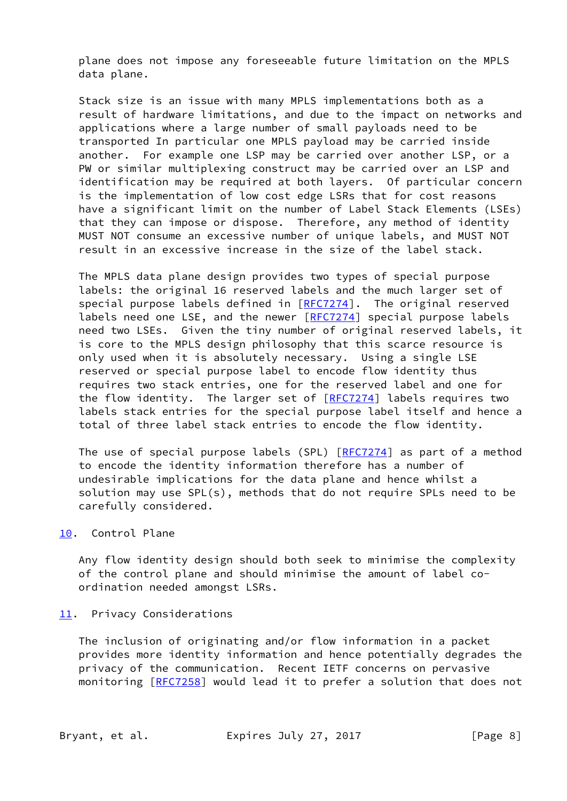plane does not impose any foreseeable future limitation on the MPLS data plane.

 Stack size is an issue with many MPLS implementations both as a result of hardware limitations, and due to the impact on networks and applications where a large number of small payloads need to be transported In particular one MPLS payload may be carried inside another. For example one LSP may be carried over another LSP, or a PW or similar multiplexing construct may be carried over an LSP and identification may be required at both layers. Of particular concern is the implementation of low cost edge LSRs that for cost reasons have a significant limit on the number of Label Stack Elements (LSEs) that they can impose or dispose. Therefore, any method of identity MUST NOT consume an excessive number of unique labels, and MUST NOT result in an excessive increase in the size of the label stack.

 The MPLS data plane design provides two types of special purpose labels: the original 16 reserved labels and the much larger set of special purpose labels defined in [[RFC7274](https://datatracker.ietf.org/doc/pdf/rfc7274)]. The original reserved labels need one LSE, and the newer [[RFC7274\]](https://datatracker.ietf.org/doc/pdf/rfc7274) special purpose labels need two LSEs. Given the tiny number of original reserved labels, it is core to the MPLS design philosophy that this scarce resource is only used when it is absolutely necessary. Using a single LSE reserved or special purpose label to encode flow identity thus requires two stack entries, one for the reserved label and one for the flow identity. The larger set of [[RFC7274](https://datatracker.ietf.org/doc/pdf/rfc7274)] labels requires two labels stack entries for the special purpose label itself and hence a total of three label stack entries to encode the flow identity.

The use of special purpose labels (SPL) [\[RFC7274](https://datatracker.ietf.org/doc/pdf/rfc7274)] as part of a method to encode the identity information therefore has a number of undesirable implications for the data plane and hence whilst a solution may use SPL(s), methods that do not require SPLs need to be carefully considered.

### <span id="page-8-0"></span>[10.](#page-8-0) Control Plane

 Any flow identity design should both seek to minimise the complexity of the control plane and should minimise the amount of label co ordination needed amongst LSRs.

### <span id="page-8-1"></span>[11.](#page-8-1) Privacy Considerations

 The inclusion of originating and/or flow information in a packet provides more identity information and hence potentially degrades the privacy of the communication. Recent IETF concerns on pervasive monitoring [[RFC7258\]](https://datatracker.ietf.org/doc/pdf/rfc7258) would lead it to prefer a solution that does not

Bryant, et al. **Expires July 27, 2017** [Page 8]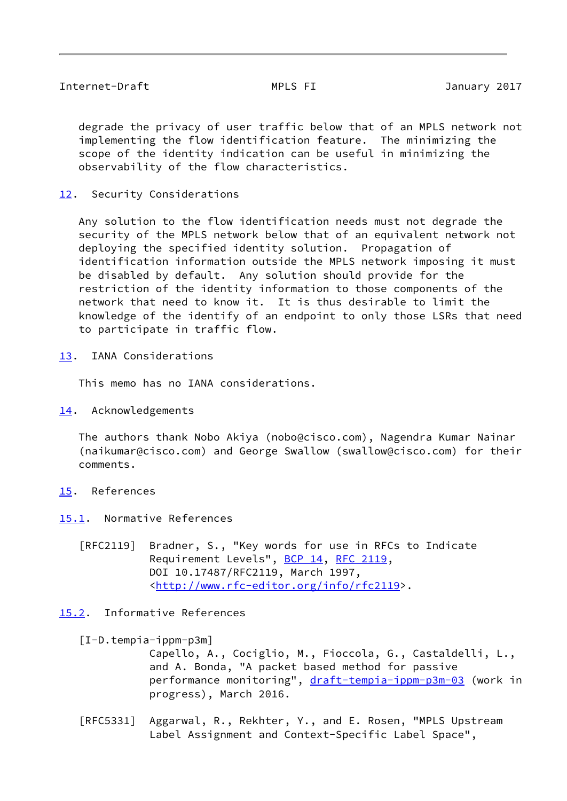<span id="page-9-1"></span> degrade the privacy of user traffic below that of an MPLS network not implementing the flow identification feature. The minimizing the scope of the identity indication can be useful in minimizing the observability of the flow characteristics.

<span id="page-9-0"></span>[12.](#page-9-0) Security Considerations

 Any solution to the flow identification needs must not degrade the security of the MPLS network below that of an equivalent network not deploying the specified identity solution. Propagation of identification information outside the MPLS network imposing it must be disabled by default. Any solution should provide for the restriction of the identity information to those components of the network that need to know it. It is thus desirable to limit the knowledge of the identify of an endpoint to only those LSRs that need to participate in traffic flow.

<span id="page-9-2"></span>[13.](#page-9-2) IANA Considerations

This memo has no IANA considerations.

<span id="page-9-3"></span>[14.](#page-9-3) Acknowledgements

 The authors thank Nobo Akiya (nobo@cisco.com), Nagendra Kumar Nainar (naikumar@cisco.com) and George Swallow (swallow@cisco.com) for their comments.

- <span id="page-9-4"></span>[15.](#page-9-4) References
- <span id="page-9-5"></span>[15.1](#page-9-5). Normative References
	- [RFC2119] Bradner, S., "Key words for use in RFCs to Indicate Requirement Levels", [BCP 14](https://datatracker.ietf.org/doc/pdf/bcp14), [RFC 2119](https://datatracker.ietf.org/doc/pdf/rfc2119), DOI 10.17487/RFC2119, March 1997, <<http://www.rfc-editor.org/info/rfc2119>>.

# <span id="page-9-6"></span>[15.2](#page-9-6). Informative References

<span id="page-9-7"></span>[I-D.tempia-ippm-p3m]

 Capello, A., Cociglio, M., Fioccola, G., Castaldelli, L., and A. Bonda, "A packet based method for passive performance monitoring", [draft-tempia-ippm-p3m-03](https://datatracker.ietf.org/doc/pdf/draft-tempia-ippm-p3m-03) (work in progress), March 2016.

 [RFC5331] Aggarwal, R., Rekhter, Y., and E. Rosen, "MPLS Upstream Label Assignment and Context-Specific Label Space",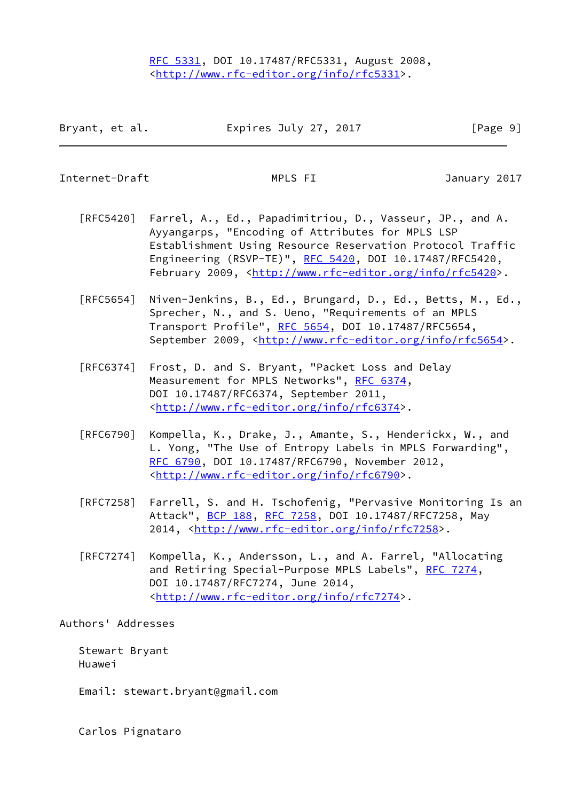<span id="page-10-0"></span>Internet-Draft MPLS FI January 2017

- [RFC5420] Farrel, A., Ed., Papadimitriou, D., Vasseur, JP., and A. Ayyangarps, "Encoding of Attributes for MPLS LSP Establishment Using Resource Reservation Protocol Traffic Engineering (RSVP-TE)", [RFC 5420,](https://datatracker.ietf.org/doc/pdf/rfc5420) DOI 10.17487/RFC5420, February 2009, <<http://www.rfc-editor.org/info/rfc5420>>.
- [RFC5654] Niven-Jenkins, B., Ed., Brungard, D., Ed., Betts, M., Ed., Sprecher, N., and S. Ueno, "Requirements of an MPLS Transport Profile", [RFC 5654,](https://datatracker.ietf.org/doc/pdf/rfc5654) DOI 10.17487/RFC5654, September 2009, <<http://www.rfc-editor.org/info/rfc5654>>.
- [RFC6374] Frost, D. and S. Bryant, "Packet Loss and Delay Measurement for MPLS Networks", [RFC 6374,](https://datatracker.ietf.org/doc/pdf/rfc6374) DOI 10.17487/RFC6374, September 2011, <<http://www.rfc-editor.org/info/rfc6374>>.
- [RFC6790] Kompella, K., Drake, J., Amante, S., Henderickx, W., and L. Yong, "The Use of Entropy Labels in MPLS Forwarding", [RFC 6790,](https://datatracker.ietf.org/doc/pdf/rfc6790) DOI 10.17487/RFC6790, November 2012, <<http://www.rfc-editor.org/info/rfc6790>>.
- [RFC7258] Farrell, S. and H. Tschofenig, "Pervasive Monitoring Is an Attack", [BCP 188,](https://datatracker.ietf.org/doc/pdf/bcp188) [RFC 7258](https://datatracker.ietf.org/doc/pdf/rfc7258), DOI 10.17487/RFC7258, May 2014, [<http://www.rfc-editor.org/info/rfc7258](http://www.rfc-editor.org/info/rfc7258)>.
- [RFC7274] Kompella, K., Andersson, L., and A. Farrel, "Allocating and Retiring Special-Purpose MPLS Labels", [RFC 7274](https://datatracker.ietf.org/doc/pdf/rfc7274), DOI 10.17487/RFC7274, June 2014, <<http://www.rfc-editor.org/info/rfc7274>>.

Authors' Addresses

 Stewart Bryant Huawei

Email: stewart.bryant@gmail.com

Carlos Pignataro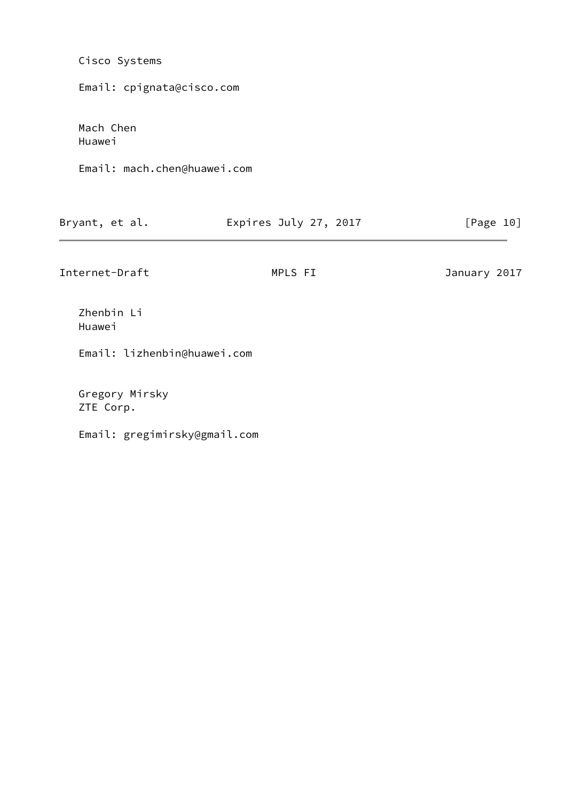| Cisco Systems               |                       |              |  |  |  |  |  |  |
|-----------------------------|-----------------------|--------------|--|--|--|--|--|--|
| Email: cpignata@cisco.com   |                       |              |  |  |  |  |  |  |
| Mach Chen<br>Huawei         |                       |              |  |  |  |  |  |  |
| Email: mach.chen@huawei.com |                       |              |  |  |  |  |  |  |
| Bryant, et al.              | Expires July 27, 2017 | [Page 10]    |  |  |  |  |  |  |
| Internet-Draft              | MPLS FI               | January 2017 |  |  |  |  |  |  |
| Zhenbin Li<br>Huawei        |                       |              |  |  |  |  |  |  |
| Email: lizhenbin@huawei.com |                       |              |  |  |  |  |  |  |
| Gregory Mirsky              |                       |              |  |  |  |  |  |  |

Email: gregimirsky@gmail.com

ZTE Corp.